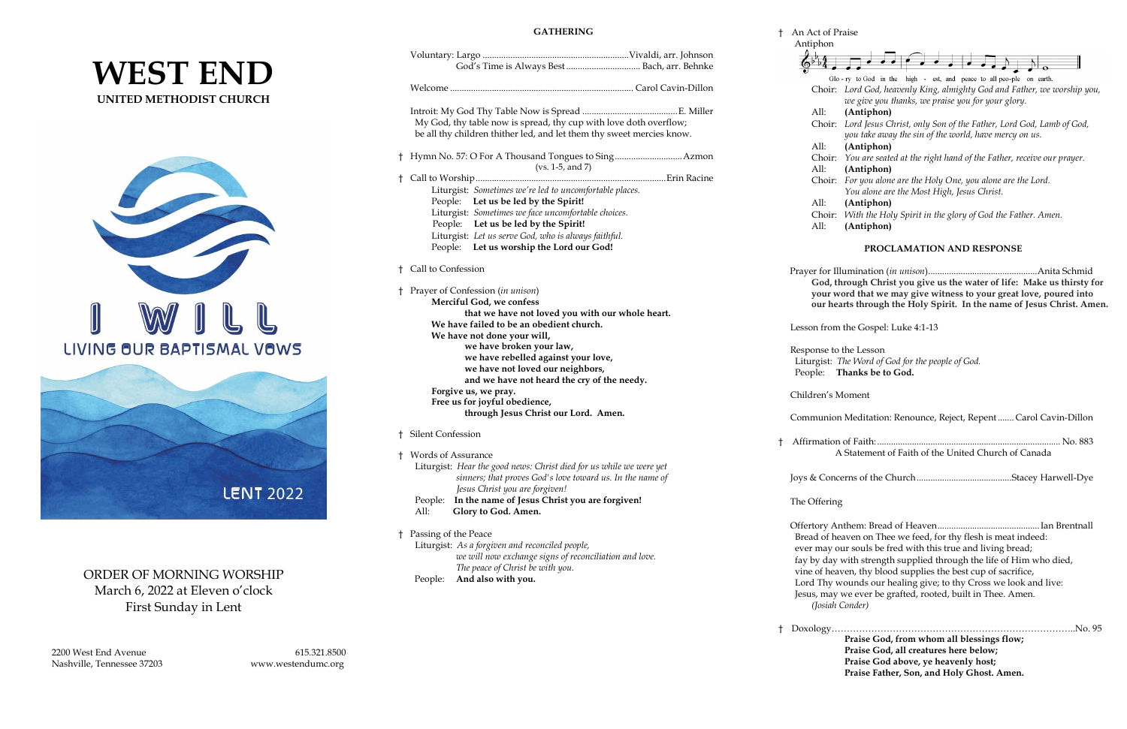# **WEST END UNITED METHODIST CHURCH**





# ORDER OF MORNING WORSHIP March 6, 2022 at Eleven o'clock First Sunday in Lent

2200 West End Avenue 615.321.8500 Nashville, Tennessee 37203 www.westendumc.org

### **GATHERING**

|                                                                                               |                                                                                                                                               |                   | Antiphon                                                              |                                                                                                                               |
|-----------------------------------------------------------------------------------------------|-----------------------------------------------------------------------------------------------------------------------------------------------|-------------------|-----------------------------------------------------------------------|-------------------------------------------------------------------------------------------------------------------------------|
|                                                                                               | God's Time is Always Best  Bach, arr. Behnke                                                                                                  |                   |                                                                       |                                                                                                                               |
|                                                                                               |                                                                                                                                               |                   |                                                                       | Glo-ry to God in the high - est, and peace to all peo-ple on earth.                                                           |
|                                                                                               |                                                                                                                                               |                   |                                                                       | Choir: Lord God, heavenly King, almighty God and Father, we worship you,<br>we give you thanks, we praise you for your glory. |
|                                                                                               |                                                                                                                                               |                   | All:                                                                  | (Antiphon)                                                                                                                    |
|                                                                                               | My God, thy table now is spread, thy cup with love doth overflow;                                                                             |                   |                                                                       | Choir: Lord Jesus Christ, only Son of the Father, Lord God, Lamb of God,                                                      |
|                                                                                               | be all thy children thither led, and let them thy sweet mercies know.                                                                         |                   |                                                                       | you take away the sin of the world, have mercy on us.                                                                         |
|                                                                                               |                                                                                                                                               |                   | All:                                                                  | (Antiphon)                                                                                                                    |
|                                                                                               | $(vs. 1-5, and 7)$                                                                                                                            |                   |                                                                       | Choir: You are seated at the right hand of the Father, receive our prayer.                                                    |
|                                                                                               |                                                                                                                                               |                   | All:                                                                  | (Antiphon)                                                                                                                    |
|                                                                                               |                                                                                                                                               |                   |                                                                       | Choir: For you alone are the Holy One, you alone are the Lord.                                                                |
|                                                                                               | Liturgist: Sometimes we're led to uncomfortable places.                                                                                       |                   |                                                                       | You alone are the Most High, Jesus Christ.                                                                                    |
|                                                                                               | People: Let us be led by the Spirit!                                                                                                          |                   | All:                                                                  | (Antiphon)                                                                                                                    |
|                                                                                               | Liturgist: Sometimes we face uncomfortable choices.                                                                                           |                   |                                                                       | Choir: With the Holy Spirit in the glory of God the Father. Amen.                                                             |
|                                                                                               | People: Let us be led by the Spirit!                                                                                                          |                   | All:                                                                  | (Antiphon)                                                                                                                    |
|                                                                                               | Liturgist: Let us serve God, who is always faithful.                                                                                          |                   |                                                                       |                                                                                                                               |
|                                                                                               | People: Let us worship the Lord our God!                                                                                                      |                   | PROCLAMATION AND RESPONSE                                             |                                                                                                                               |
|                                                                                               | Call to Confession                                                                                                                            |                   |                                                                       |                                                                                                                               |
|                                                                                               |                                                                                                                                               |                   |                                                                       | God, through Christ you give us the water of life: Make us thirsty for                                                        |
|                                                                                               | † Prayer of Confession (in unison)                                                                                                            |                   | your word that we may give witness to your great love, poured into    |                                                                                                                               |
|                                                                                               | Merciful God, we confess                                                                                                                      |                   | our hearts through the Holy Spirit. In the name of Jesus Christ. Amer |                                                                                                                               |
|                                                                                               | that we have not loved you with our whole heart.                                                                                              |                   |                                                                       |                                                                                                                               |
|                                                                                               | We have failed to be an obedient church.                                                                                                      |                   | Lesson from the Gospel: Luke 4:1-13                                   |                                                                                                                               |
|                                                                                               | We have not done your will,                                                                                                                   |                   |                                                                       |                                                                                                                               |
|                                                                                               | we have broken your law,<br>we have rebelled against your love,<br>we have not loved our neighbors,                                           |                   | Response to the Lesson                                                |                                                                                                                               |
|                                                                                               |                                                                                                                                               |                   | Liturgist: The Word of God for the people of God.                     |                                                                                                                               |
|                                                                                               | and we have not heard the cry of the needy.                                                                                                   |                   |                                                                       | People: Thanks be to God.                                                                                                     |
| Forgive us, we pray.<br>Free us for joyful obedience,<br>through Jesus Christ our Lord. Amen. |                                                                                                                                               | Children's Moment |                                                                       |                                                                                                                               |
|                                                                                               |                                                                                                                                               |                   |                                                                       |                                                                                                                               |
|                                                                                               | † Silent Confession                                                                                                                           |                   |                                                                       |                                                                                                                               |
|                                                                                               | <b>Words of Assurance</b>                                                                                                                     |                   |                                                                       | A Statement of Faith of the United Church of Canada                                                                           |
|                                                                                               | Liturgist: Hear the good news: Christ died for us while we were yet                                                                           |                   |                                                                       |                                                                                                                               |
|                                                                                               | sinners; that proves God's love toward us. In the name of                                                                                     |                   |                                                                       |                                                                                                                               |
|                                                                                               | Jesus Christ you are forgiven!                                                                                                                |                   |                                                                       |                                                                                                                               |
|                                                                                               | People: In the name of Jesus Christ you are forgiven!<br>Glory to God. Amen.<br>All:                                                          |                   | The Offering                                                          |                                                                                                                               |
|                                                                                               |                                                                                                                                               |                   |                                                                       |                                                                                                                               |
|                                                                                               |                                                                                                                                               |                   |                                                                       |                                                                                                                               |
|                                                                                               | † Passing of the Peace                                                                                                                        |                   |                                                                       | Bread of heaven on Thee we feed, for thy flesh is meat indeed:                                                                |
|                                                                                               | Liturgist: As a forgiven and reconciled people,<br>we will now exchange signs of reconciliation and love.<br>The peace of Christ be with you. |                   |                                                                       | ever may our souls be fred with this true and living bread;                                                                   |
|                                                                                               |                                                                                                                                               |                   |                                                                       | fay by day with strength supplied through the life of Him who died,                                                           |
|                                                                                               |                                                                                                                                               |                   |                                                                       | vine of heaven, thy blood supplies the best cup of sacrifice,                                                                 |
|                                                                                               | And also with you.<br>People:                                                                                                                 |                   |                                                                       | Lord Thy wounds our healing give; to thy Cross we look and live:                                                              |
|                                                                                               |                                                                                                                                               |                   |                                                                       | Jesus, may we ever be grafted, rooted, built in Thee, Amen.                                                                   |

### † An Act of Praise

Jesus, may we ever be grafted, rooted, built in Thee. Amen. *(Josiah Conder)*

† Doxology……………………………………………………………………..No. 95 **Praise God, from whom all blessings flow; Praise God, all creatures here below; Praise God above, ye heavenly host; Praise Father, Son, and Holy Ghost. Amen.**